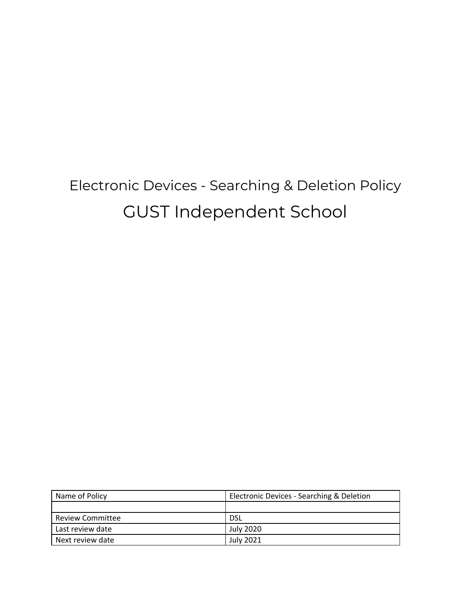# Electronic Devices - Searching & Deletion Policy GUST Independent School

| Name of Policy          | Electronic Devices - Searching & Deletion |
|-------------------------|-------------------------------------------|
|                         |                                           |
| <b>Review Committee</b> | DSL                                       |
| Last review date        | July 2020                                 |
| Next review date        | <b>July 2021</b>                          |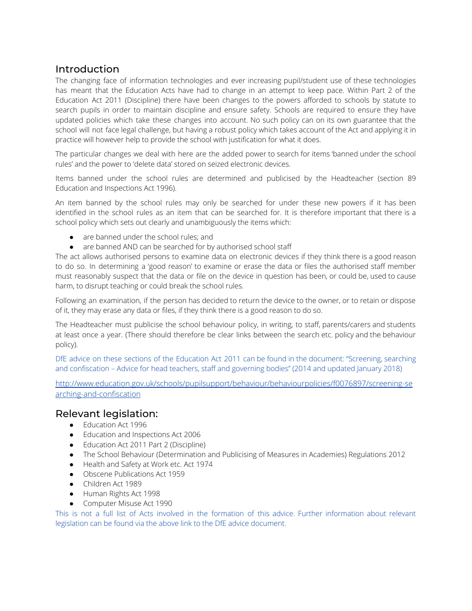## Introduction

The changing face of information technologies and ever increasing pupil/student use of these technologies has meant that the Education Acts have had to change in an attempt to keep pace. Within Part 2 of the Education Act 2011 (Discipline) there have been changes to the powers afforded to schools by statute to search pupils in order to maintain discipline and ensure safety. Schools are required to ensure they have updated policies which take these changes into account. No such policy can on its own guarantee that the school will not face legal challenge, but having a robust policy which takes account of the Act and applying it in practice will however help to provide the school with justification for what it does.

The particular changes we deal with here are the added power to search for items 'banned under the school rules' and the power to 'delete data' stored on seized electronic devices.

Items banned under the school rules are determined and publicised by the Headteacher (section 89 Education and Inspections Act 1996).

An item banned by the school rules may only be searched for under these new powers if it has been identified in the school rules as an item that can be searched for. It is therefore important that there is a school policy which sets out clearly and unambiguously the items which:

- are banned under the school rules; and
- are banned AND can be searched for by authorised school staff

The act allows authorised persons to examine data on electronic devices if they think there is a good reason to do so. In determining a 'good reason' to examine or erase the data or files the authorised staff member must reasonably suspect that the data or file on the device in question has been, or could be, used to cause harm, to disrupt teaching or could break the school rules.

Following an examination, if the person has decided to return the device to the owner, or to retain or dispose of it, they may erase any data or files, if they think there is a good reason to do so.

The Headteacher must publicise the school behaviour policy, in writing, to staff, parents/carers and students at least once a year. (There should therefore be clear links between the search etc. policy and the behaviour policy).

DfE advice on these sections of the Education Act 2011 can be found in the document: "Screening, searching and confiscation – Advice for head teachers, staff and governing bodies" (2014 and updated January 2018)

[http://www.education.gov.uk/schools/pupilsupport/behaviour/behaviourpolicies/f0076897/screening-se](http://www.education.gov.uk/schools/pupilsupport/behaviour/behaviourpolicies/f0076897/screening-searching-and-confiscation) [arching-and-confiscation](http://www.education.gov.uk/schools/pupilsupport/behaviour/behaviourpolicies/f0076897/screening-searching-and-confiscation)

## Relevant legislation:

- Education Act 1996
- Education and Inspections Act 2006
- Education Act 2011 Part 2 (Discipline)
- The School Behaviour (Determination and Publicising of Measures in Academies) Regulations 2012
- Health and Safety at Work etc. Act 1974
- Obscene Publications Act 1959
- Children Act 1989
- Human Rights Act 1998
- Computer Misuse Act 1990

This is not a full list of Acts involved in the formation of this advice. Further information about relevant legislation can be found via the above link to the DfE advice document.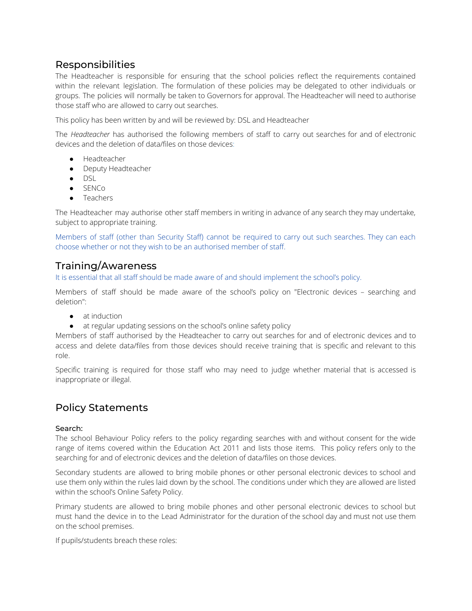# Responsibilities

The Headteacher is responsible for ensuring that the school policies reflect the requirements contained within the relevant legislation. The formulation of these policies may be delegated to other individuals or groups. The policies will normally be taken to Governors for approval. The Headteacher will need to authorise those staff who are allowed to carry out searches.

This policy has been written by and will be reviewed by: DSL and Headteacher

The *Headteacher* has authorised the following members of staff to carry out searches for and of electronic devices and the deletion of data/files on those devices:

- Headteacher
- Deputy Headteacher
- DSL
- SENCo
- Teachers

The Headteacher may authorise other staff members in writing in advance of any search they may undertake, subject to appropriate training.

Members of staff (other than Security Staff) cannot be required to carry out such searches. They can each choose whether or not they wish to be an authorised member of staff.

## Training/Awareness

It is essential that all staff should be made aware of and should implement the school's policy.

Members of staff should be made aware of the school's policy on "Electronic devices – searching and deletion":

- at induction
- at regular updating sessions on the school's online safety policy

Members of staff authorised by the Headteacher to carry out searches for and of electronic devices and to access and delete data/files from those devices should receive training that is specific and relevant to this role.

Specific training is required for those staff who may need to judge whether material that is accessed is inappropriate or illegal.

# Policy Statements

#### Search:

The school Behaviour Policy refers to the policy regarding searches with and without consent for the wide range of items covered within the Education Act 2011 and lists those items. This policy refers only to the searching for and of electronic devices and the deletion of data/files on those devices.

Secondary students are allowed to bring mobile phones or other personal electronic devices to school and use them only within the rules laid down by the school. The conditions under which they are allowed are listed within the school's Online Safety Policy.

Primary students are allowed to bring mobile phones and other personal electronic devices to school but must hand the device in to the Lead Administrator for the duration of the school day and must not use them on the school premises.

If pupils/students breach these roles: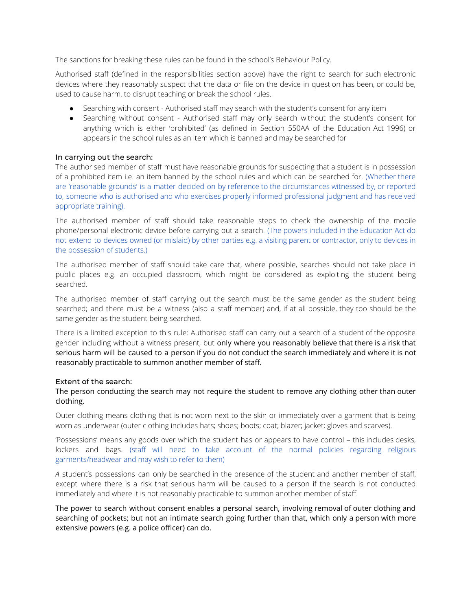The sanctions for breaking these rules can be found in the school's Behaviour Policy.

Authorised staff (defined in the responsibilities section above) have the right to search for such electronic devices where they reasonably suspect that the data or file on the device in question has been, or could be, used to cause harm, to disrupt teaching or break the school rules.

- Searching with consent Authorised staff may search with the student's consent for any item
- Searching without consent Authorised staff may only search without the student's consent for anything which is either 'prohibited' (as defined in Section 550AA of the Education Act 1996) or appears in the school rules as an item which is banned and may be searched for

#### In carrying out the search:

The authorised member of staff must have reasonable grounds for suspecting that a student is in possession of a prohibited item i.e. an item banned by the school rules and which can be searched for. (Whether there are 'reasonable grounds' is a matter decided on by reference to the circumstances witnessed by, or reported to, someone who is authorised and who exercises properly informed professional judgment and has received appropriate training).

The authorised member of staff should take reasonable steps to check the ownership of the mobile phone/personal electronic device before carrying out a search. (The powers included in the Education Act do not extend to devices owned (or mislaid) by other parties e.g. a visiting parent or contractor, only to devices in the possession of students.)

The authorised member of staff should take care that, where possible, searches should not take place in public places e.g. an occupied classroom, which might be considered as exploiting the student being searched.

The authorised member of staff carrying out the search must be the same gender as the student being searched; and there must be a witness (also a staff member) and, if at all possible, they too should be the same gender as the student being searched.

There is a limited exception to this rule: Authorised staff can carry out a search of a student of the opposite gender including without a witness present, but only where you reasonably believe that there is a risk that serious harm will be caused to a person if you do not conduct the search immediately and where it is not reasonably practicable to summon another member of staff.

#### Extent of the search:

The person conducting the search may not require the student to remove any clothing other than outer clothing.

Outer clothing means clothing that is not worn next to the skin or immediately over a garment that is being worn as underwear (outer clothing includes hats; shoes; boots; coat; blazer; jacket; gloves and scarves).

'Possessions' means any goods over which the student has or appears to have control – this includes desks, lockers and bags. (staff will need to take account of the normal policies regarding religious garments/headwear and may wish to refer to them)

*A* student's possessions can only be searched in the presence of the student and another member of staff, except where there is a risk that serious harm will be caused to a person if the search is not conducted immediately and where it is not reasonably practicable to summon another member of staff.

The power to search without consent enables a personal search, involving removal of outer clothing and searching of pockets; but not an intimate search going further than that, which only a person with more extensive powers (e.g. a police officer) can do.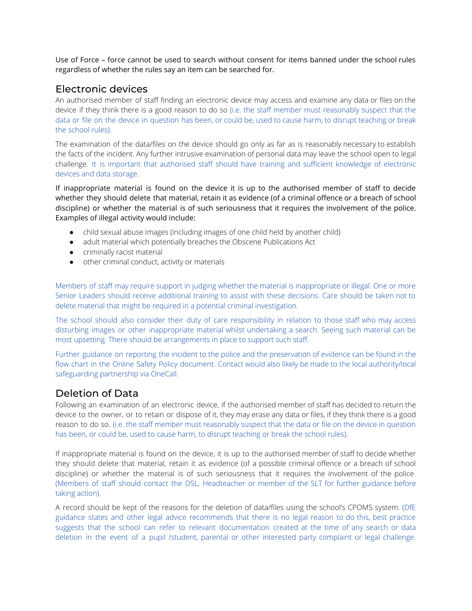Use of Force – force cannot be used to search without consent for items banned under the school rules regardless of whether the rules say an item can be searched for.

### Electronic devices

An authorised member of staff finding an electronic device may access and examine any data or files on the device if they think there is a good reason to do so (i.e. the staff member must reasonably suspect that the data or file on the device in question has been, or could be, used to cause harm, to disrupt teaching or break the school rules).

The examination of the data/files on the device should go only as far as is reasonably necessary to establish the facts of the incident. Any further intrusive examination of personal data may leave the school open to legal challenge. It is important that authorised staff should have training and sufficient knowledge of electronic devices and data storage.

If inappropriate material is found on the device it is up to the authorised member of staff to decide whether they should delete that material, retain it as evidence (of a criminal offence or a breach of school discipline) or whether the material is of such seriousness that it requires the involvement of the police. Examples of illegal activity would include:

- child sexual abuse images (including images of one child held by another child)
- adult material which potentially breaches the Obscene Publications Act
- criminally racist material
- other criminal conduct, activity or materials

Members of staff may require support in judging whether the material is inappropriate or illegal. One or more Senior Leaders should receive additional training to assist with these decisions. Care should be taken not to delete material that might be required in a potential criminal investigation.

The school should also consider their duty of care responsibility in relation to those staff who may access disturbing images or other inappropriate material whilst undertaking a search. Seeing such material can be most upsetting. There should be arrangements in place to support such staff.

Further guidance on reporting the incident to the police and the preservation of evidence can be found in the flow chart in the Online Safety Policy document. Contact would also likely be made to the local authority/local safeguarding partnership via OneCall.

# Deletion of Data

Following an examination of an electronic device, if the authorised member of staff has decided to return the device to the owner, or to retain or dispose of it, they may erase any data or files, if they think there is a good reason to do so. (i.e. the staff member must reasonably suspect that the data or file on the device in question has been, or could be, used to cause harm, to disrupt teaching or break the school rules).

If inappropriate material is found on the device, it is up to the authorised member of staff to decide whether they should delete that material, retain it as evidence (of a possible criminal offence or a breach of school discipline) or whether the material is of such seriousness that it requires the involvement of the police. (Members of staff should contact the DSL, Headteacher or member of the SLT for further guidance before taking action).

A record should be kept of the reasons for the deletion of data/files using the school's CPOMS system. (DfE guidance states and other legal advice recommends that there is no legal reason to do this, best practice suggests that the school can refer to relevant documentation created at the time of any search or data deletion in the event of a pupil /student, parental or other interested party complaint or legal challenge.